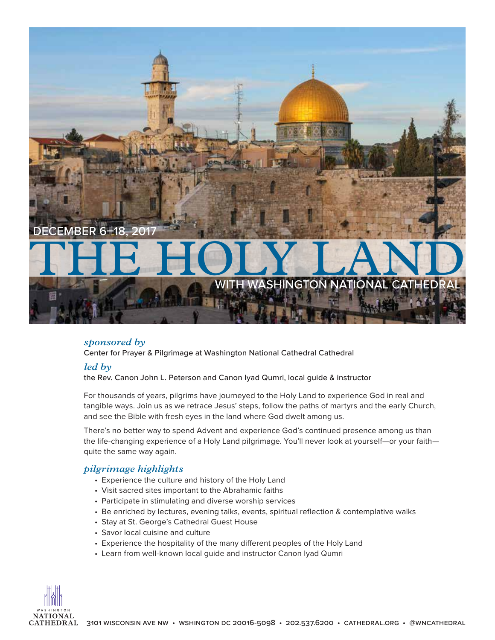

# *sponsored by*

Center for Prayer & Pilgrimage at Washington National Cathedral Cathedral

## *led by*

the Rev. Canon John L. Peterson and Canon Iyad Qumri, local guide & instructor

For thousands of years, pilgrims have journeyed to the Holy Land to experience God in real and tangible ways. Join us as we retrace Jesus' steps, follow the paths of martyrs and the early Church, and see the Bible with fresh eyes in the land where God dwelt among us.

There's no better way to spend Advent and experience God's continued presence among us than the life-changing experience of a Holy Land pilgrimage. You'll never look at yourself—or your faith quite the same way again.

# *pilgrimage highlights*

- Experience the culture and history of the Holy Land
- Visit sacred sites important to the Abrahamic faiths
- Participate in stimulating and diverse worship services
- Be enriched by lectures, evening talks, events, spiritual reflection & contemplative walks
- Stay at St. George's Cathedral Guest House
- Savor local cuisine and culture
- Experience the hospitality of the many different peoples of the Holy Land
- Learn from well-known local guide and instructor Canon Iyad Qumri

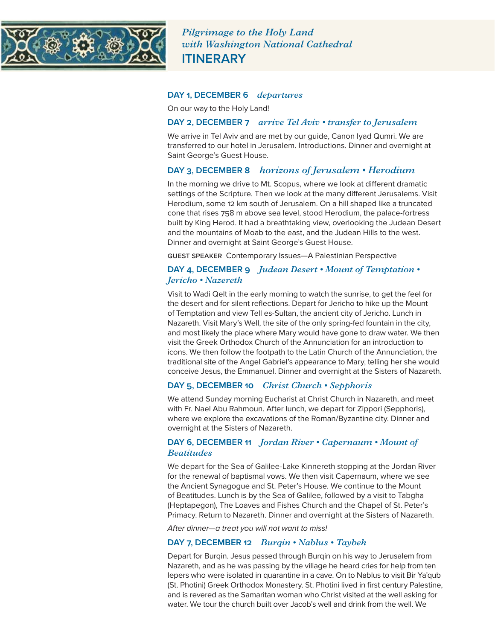

*Pilgrimage to the Holy Land with Washington National Cathedral* **ITINERARY**

#### **DAY 1, DECEMBER 6** *departures*

On our way to the Holy Land!

#### **DAY 2, DECEMBER 7** *arrive Tel Aviv • transfer to Jerusalem*

We arrive in Tel Aviv and are met by our guide, Canon Iyad Qumri. We are transferred to our hotel in Jerusalem. Introductions. Dinner and overnight at Saint George's Guest House.

# **DAY 3, DECEMBER 8** *horizons of Jerusalem • Herodium*

In the morning we drive to Mt. Scopus, where we look at different dramatic settings of the Scripture. Then we look at the many different Jerusalems. Visit Herodium, some 12 km south of Jerusalem. On a hill shaped like a truncated cone that rises 758 m above sea level, stood Herodium, the palace-fortress built by King Herod. It had a breathtaking view, overlooking the Judean Desert and the mountains of Moab to the east, and the Judean Hills to the west. Dinner and overnight at Saint George's Guest House.

guest speaker Contemporary Issues—A Palestinian Perspective

#### **DAY 4, DECEMBER 9** *Judean Desert • Mount of Temptation • Jericho • Nazereth*

Visit to Wadi Qelt in the early morning to watch the sunrise, to get the feel for the desert and for silent reflections. Depart for Jericho to hike up the Mount of Temptation and view Tell es-Sultan, the ancient city of Jericho. Lunch in Nazareth. Visit Mary's Well, the site of the only spring-fed fountain in the city, and most likely the place where Mary would have gone to draw water. We then visit the Greek Orthodox Church of the Annunciation for an introduction to icons. We then follow the footpath to the Latin Church of the Annunciation, the traditional site of the Angel Gabriel's appearance to Mary, telling her she would conceive Jesus, the Emmanuel. Dinner and overnight at the Sisters of Nazareth.

### **DAY 5, DECEMBER 10** *Christ Church • Sepphoris*

We attend Sunday morning Eucharist at Christ Church in Nazareth, and meet with Fr. Nael Abu Rahmoun. After lunch, we depart for Zippori (Sepphoris), where we explore the excavations of the Roman/Byzantine city. Dinner and overnight at the Sisters of Nazareth.

### **DAY 6, DECEMBER 11** *Jordan River • Capernaum • Mount of Beatitudes*

We depart for the Sea of Galilee-Lake Kinnereth stopping at the Jordan River for the renewal of baptismal vows. We then visit Capernaum, where we see the Ancient Synagogue and St. Peter's House. We continue to the Mount of Beatitudes. Lunch is by the Sea of Galilee, followed by a visit to Tabgha (Heptapegon), The Loaves and Fishes Church and the Chapel of St. Peter's Primacy. Return to Nazareth. Dinner and overnight at the Sisters of Nazareth.

*After dinner—a treat you will not want to miss!* 

# **DAY 7, DECEMBER 12** *Burqin • Nablus • Taybeh*

Depart for Burqin. Jesus passed through Burqin on his way to Jerusalem from Nazareth, and as he was passing by the village he heard cries for help from ten lepers who were isolated in quarantine in a cave. On to Nablus to visit Bir Ya'qub (St. Photini) Greek Orthodox Monastery. St. Photini lived in first century Palestine, and is revered as the Samaritan woman who Christ visited at the well asking for water. We tour the church built over Jacob's well and drink from the well. We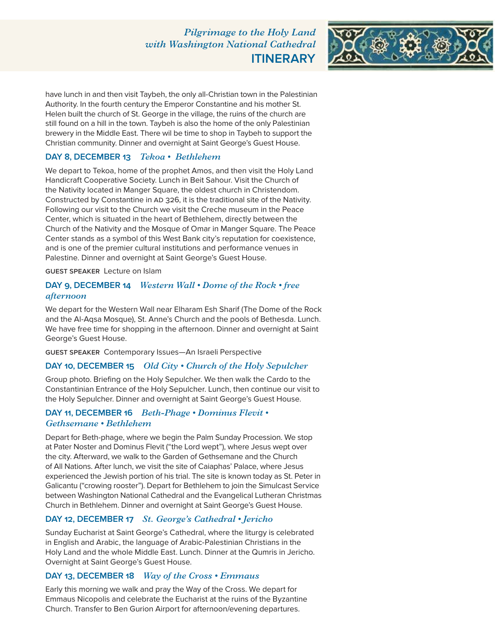*Pilgrimage to the Holy Land with Washington National Cathedral* **ITINERARY**



have lunch in and then visit Taybeh, the only all-Christian town in the Palestinian Authority. In the fourth century the Emperor Constantine and his mother St. Helen built the church of St. George in the village, the ruins of the church are still found on a hill in the town. Taybeh is also the home of the only Palestinian brewery in the Middle East. There wil be time to shop in Taybeh to support the Christian community. Dinner and overnight at Saint George's Guest House.

## **DAY 8, DECEMBER 13** *Tekoa • Bethlehem*

We depart to Tekoa, home of the prophet Amos, and then visit the Holy Land Handicraft Cooperative Society. Lunch in Beit Sahour. Visit the Church of the Nativity located in Manger Square, the oldest church in Christendom. Constructed by Constantine in AD 326, it is the traditional site of the Nativity. Following our visit to the Church we visit the Creche museum in the Peace Center, which is situated in the heart of Bethlehem, directly between the Church of the Nativity and the Mosque of Omar in Manger Square. The Peace Center stands as a symbol of this West Bank city's reputation for coexistence, and is one of the premier cultural institutions and performance venues in Palestine. Dinner and overnight at Saint George's Guest House.

#### guest speaker Lecture on Islam

## **DAY 9, DECEMBER 14** *Western Wall • Dome of the Rock • free afternoon*

We depart for the Western Wall near Elharam Esh Sharif (The Dome of the Rock and the Al-Aqsa Mosque), St. Anne's Church and the pools of Bethesda. Lunch. We have free time for shopping in the afternoon. Dinner and overnight at Saint George's Guest House.

guest speaker Contemporary Issues—An Israeli Perspective

### **DAY 10, DECEMBER 15** *Old City • Church of the Holy Sepulcher*

Group photo. Briefing on the Holy Sepulcher. We then walk the Cardo to the Constantinian Entrance of the Holy Sepulcher. Lunch, then continue our visit to the Holy Sepulcher. Dinner and overnight at Saint George's Guest House.

### **DAY 11, DECEMBER 16** *Beth-Phage • Dominus Flevit • Gethsemane • Bethlehem*

Depart for Beth-phage, where we begin the Palm Sunday Procession. We stop at Pater Noster and Dominus Flevit ("the Lord wept"), where Jesus wept over the city. Afterward, we walk to the Garden of Gethsemane and the Church of All Nations. After lunch, we visit the site of Caiaphas' Palace, where Jesus experienced the Jewish portion of his trial. The site is known today as St. Peter in Galicantu ("crowing rooster"). Depart for Bethlehem to join the Simulcast Service between Washington National Cathedral and the Evangelical Lutheran Christmas Church in Bethlehem. Dinner and overnight at Saint George's Guest House.

### **DAY 12, DECEMBER 17** *St. George's Cathedral • Jericho*

Sunday Eucharist at Saint George's Cathedral, where the liturgy is celebrated in English and Arabic, the language of Arabic-Palestinian Christians in the Holy Land and the whole Middle East. Lunch. Dinner at the Qumris in Jericho. Overnight at Saint George's Guest House.

### **DAY 13, DECEMBER 18** *Way of the Cross • Emmaus*

Early this morning we walk and pray the Way of the Cross. We depart for Emmaus Nicopolis and celebrate the Eucharist at the ruins of the Byzantine Church. Transfer to Ben Gurion Airport for afternoon/evening departures.